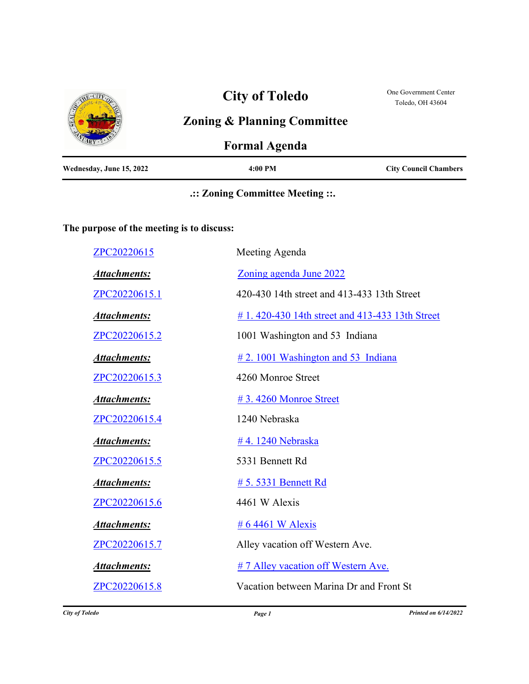|                          | <b>City of Toledo</b>                  | One Government Center<br>Toledo, OH 43604 |
|--------------------------|----------------------------------------|-------------------------------------------|
|                          | <b>Zoning &amp; Planning Committee</b> |                                           |
|                          | <b>Formal Agenda</b>                   |                                           |
| Wednesday, June 15, 2022 | 4:00 PM                                | <b>City Council Chambers</b>              |

## **.:: Zoning Committee Meeting ::.**

## **The purpose of the meeting is to discuss:**

| ZPC20220615         | Meeting Agenda                                  |
|---------------------|-------------------------------------------------|
| <b>Attachments:</b> | Zoning agenda June 2022                         |
| ZPC20220615.1       | 420-430 14th street and 413-433 13th Street     |
| <b>Attachments:</b> | # 1.420-430 14th street and 413-433 13th Street |
| ZPC20220615.2       | 1001 Washington and 53 Indiana                  |
| <b>Attachments:</b> | $\#$ 2. 1001 Washington and 53 Indiana          |
| ZPC20220615.3       | 4260 Monroe Street                              |
| <b>Attachments:</b> | #3.4260 Monroe Street                           |
| ZPC20220615.4       | 1240 Nebraska                                   |
| <b>Attachments:</b> | #4.1240 Nebraska                                |
| ZPC20220615.5       | 5331 Bennett Rd                                 |
| <b>Attachments:</b> | # 5.5331 Bennett Rd                             |
| ZPC20220615.6       | 4461 W Alexis                                   |
| <b>Attachments:</b> | # 6 4461 W Alexis                               |
| ZPC20220615.7       | Alley vacation off Western Ave.                 |
| <b>Attachments:</b> | # 7 Alley vacation off Western Ave.             |
| ZPC20220615.8       | Vacation between Marina Dr and Front St         |
|                     |                                                 |